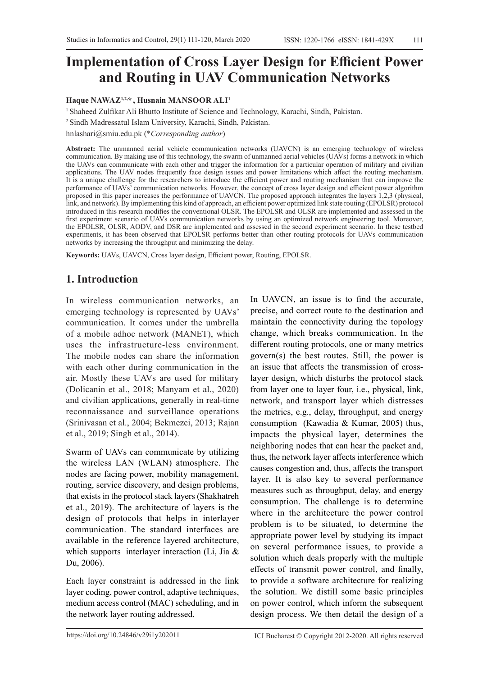# **Implementation of Cross Layer Design for Efficient Power and Routing in UAV Communication Networks**

#### **Haque NAWAZ1,2,\* , Husnain MANSOOR ALI1**

<sup>1</sup>Shaheed Zulfikar Ali Bhutto Institute of Science and Technology, Karachi, Sindh, Pakistan.

<sup>2</sup>Sindh Madressatul Islam University, Karachi, Sindh, Pakistan.

hnlashari@smiu.edu.pk (\**Corresponding author*)

**Abstract:** The unmanned aerial vehicle communication networks (UAVCN) is an emerging technology of wireless communication. By making use of this technology, the swarm of unmanned aerial vehicles (UAVs) forms a network in which the UAVs can communicate with each other and trigger the information for a particular operation of military and civilian applications. The UAV nodes frequently face design issues and power limitations which affect the routing mechanism. It is a unique challenge for the researchers to introduce the efficient power and routing mechanism that can improve the performance of UAVs' communication networks. However, the concept of cross layer design and efficient power algorithm proposed in this paper increases the performance of UAVCN. The proposed approach integrates the layers 1,2,3 (physical, link, and network). By implementing this kind of approach, an efficient power optimized link state routing (EPOLSR) protocol introduced in this research modifies the conventional OLSR. The EPOLSR and OLSR are implemented and assessed in the first experiment scenario of UAVs communication networks by using an optimized network engineering tool. Moreover, the EPOLSR, OLSR, AODV, and DSR are implemented and assessed in the second experiment scenario. In these testbed experiments, it has been observed that EPOLSR performs better than other routing protocols for UAVs communication networks by increasing the throughput and minimizing the delay.

**Keywords:** UAVs, UAVCN, Cross layer design, Efficient power, Routing, EPOLSR.

# **1. Introduction**

In wireless communication networks, an emerging technology is represented by UAVs' communication. It comes under the umbrella of a mobile adhoc network (MANET), which uses the infrastructure-less environment. The mobile nodes can share the information with each other during communication in the air. Mostly these UAVs are used for military (Dolicanin et al., 2018; Manyam et al., 2020) and civilian applications, generally in real-time reconnaissance and surveillance operations (Srinivasan et al., 2004; Bekmezci, 2013; Rajan et al., 2019; Singh et al., 2014).

Swarm of UAVs can communicate by utilizing the wireless LAN (WLAN) atmosphere. The nodes are facing power, mobility management, routing, service discovery, and design problems, that exists in the protocol stack layers (Shakhatreh et al., 2019). The architecture of layers is the design of protocols that helps in interlayer communication. The standard interfaces are available in the reference layered architecture, which supports interlayer interaction (Li, Jia & Du, 2006).

Each layer constraint is addressed in the link layer coding, power control, adaptive techniques, medium access control (MAC) scheduling, and in the network layer routing addressed.

In UAVCN, an issue is to find the accurate, precise, and correct route to the destination and maintain the connectivity during the topology change, which breaks communication. In the different routing protocols, one or many metrics govern(s) the best routes. Still, the power is an issue that affects the transmission of crosslayer design, which disturbs the protocol stack from layer one to layer four, i.e., physical, link, network, and transport layer which distresses the metrics, e.g., delay, throughput, and energy consumption (Kawadia & Kumar, 2005) thus, impacts the physical layer, determines the neighboring nodes that can hear the packet and, thus, the network layer affects interference which causes congestion and, thus, affects the transport layer. It is also key to several performance measures such as throughput, delay, and energy consumption. The challenge is to determine where in the architecture the power control problem is to be situated, to determine the appropriate power level by studying its impact on several performance issues, to provide a solution which deals properly with the multiple effects of transmit power control, and finally, to provide a software architecture for realizing the solution. We distill some basic principles on power control, which inform the subsequent design process. We then detail the design of a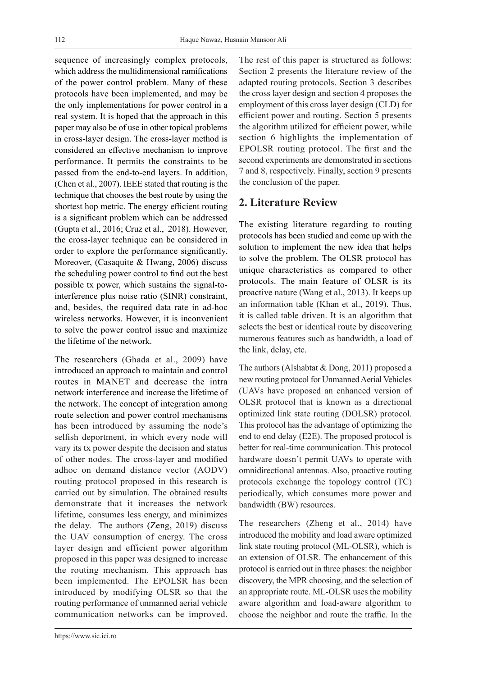sequence of increasingly complex protocols, which address the multidimensional ramifications of the power control problem. Many of these protocols have been implemented, and may be the only implementations for power control in a real system. It is hoped that the approach in this paper may also be of use in other topical problems in cross-layer design. The cross-layer method is considered an effective mechanism to improve performance. It permits the constraints to be passed from the end-to-end layers. In addition, (Chen et al., 2007). IEEE stated that routing is the technique that chooses the best route by using the shortest hop metric. The energy efficient routing is a significant problem which can be addressed (Gupta et al., 2016; Cruz et al., 2018). However, the cross-layer technique can be considered in order to explore the performance significantly. Moreover, (Casaquite & Hwang, 2006) discuss the scheduling power control to find out the best possible tx power, which sustains the signal-tointerference plus noise ratio (SINR) constraint, and, besides, the required data rate in ad-hoc wireless networks. However, it is inconvenient to solve the power control issue and maximize the lifetime of the network.

The researchers (Ghada et al., 2009) have introduced an approach to maintain and control routes in MANET and decrease the intra network interference and increase the lifetime of the network. The concept of integration among route selection and power control mechanisms has been introduced by assuming the node's selfish deportment, in which every node will vary its tx power despite the decision and status of other nodes. The cross-layer and modified adhoc on demand distance vector (AODV) routing protocol proposed in this research is carried out by simulation. The obtained results demonstrate that it increases the network lifetime, consumes less energy, and minimizes the delay. The authors (Zeng, 2019) discuss the UAV consumption of energy. The cross layer design and efficient power algorithm proposed in this paper was designed to increase the routing mechanism. This approach has been implemented. The EPOLSR has been introduced by modifying OLSR so that the routing performance of unmanned aerial vehicle communication networks can be improved.

https://www.sic.ici.ro

The rest of this paper is structured as follows: Section 2 presents the literature review of the adapted routing protocols. Section 3 describes the cross layer design and section 4 proposes the employment of this cross layer design (CLD) for efficient power and routing. Section 5 presents the algorithm utilized for efficient power, while section 6 highlights the implementation of EPOLSR routing protocol. The first and the second experiments are demonstrated in sections 7 and 8, respectively. Finally, section 9 presents the conclusion of the paper.

# **2. Literature Review**

The existing literature regarding to routing protocols has been studied and come up with the solution to implement the new idea that helps to solve the problem. The OLSR protocol has unique characteristics as compared to other protocols. The main feature of OLSR is its proactive nature (Wang et al., 2013). It keeps up an information table (Khan et al., 2019). Thus, it is called table driven. It is an algorithm that selects the best or identical route by discovering numerous features such as bandwidth, a load of the link, delay, etc.

The authors (Alshabtat & Dong, 2011) proposed a new routing protocol for Unmanned Aerial Vehicles (UAVs have proposed an enhanced version of OLSR protocol that is known as a directional optimized link state routing (DOLSR) protocol. This protocol has the advantage of optimizing the end to end delay (E2E). The proposed protocol is better for real-time communication. This protocol hardware doesn't permit UAVs to operate with omnidirectional antennas. Also, proactive routing protocols exchange the topology control (TC) periodically, which consumes more power and bandwidth (BW) resources.

The researchers (Zheng et al., 2014) have introduced the mobility and load aware optimized link state routing protocol (ML-OLSR), which is an extension of OLSR. The enhancement of this protocol is carried out in three phases: the neighbor discovery, the MPR choosing, and the selection of an appropriate route. ML-OLSR uses the mobility aware algorithm and load-aware algorithm to choose the neighbor and route the traffic. In the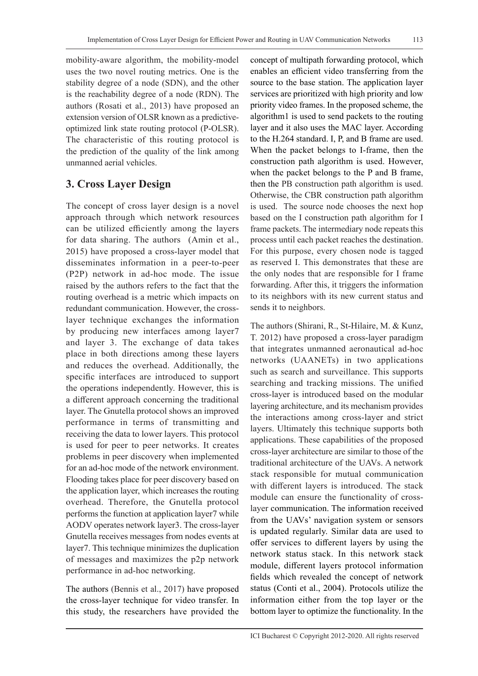mobility-aware algorithm, the mobility-model uses the two novel routing metrics. One is the stability degree of a node (SDN), and the other is the reachability degree of a node (RDN). The authors (Rosati et al., 2013) have proposed an extension version of OLSR known as a predictiveoptimized link state routing protocol (P-OLSR). The characteristic of this routing protocol is the prediction of the quality of the link among unmanned aerial vehicles.

### **3. Cross Layer Design**

The concept of cross layer design is a novel approach through which network resources can be utilized efficiently among the layers for data sharing. The authors (Amin et al., 2015) have proposed a cross-layer model that disseminates information in a peer-to-peer (P2P) network in ad-hoc mode. The issue raised by the authors refers to the fact that the routing overhead is a metric which impacts on redundant communication. However, the crosslayer technique exchanges the information by producing new interfaces among layer7 and layer 3. The exchange of data takes place in both directions among these layers and reduces the overhead. Additionally, the specific interfaces are introduced to support the operations independently. However, this is a different approach concerning the traditional layer. The Gnutella protocol shows an improved performance in terms of transmitting and receiving the data to lower layers. This protocol is used for peer to peer networks. It creates problems in peer discovery when implemented for an ad-hoc mode of the network environment. Flooding takes place for peer discovery based on the application layer, which increases the routing overhead. Therefore, the Gnutella protocol performs the function at application layer7 while AODV operates network layer3. The cross-layer Gnutella receives messages from nodes events at layer7. This technique minimizes the duplication of messages and maximizes the p2p network performance in ad-hoc networking.

The authors (Bennis et al., 2017) have proposed the cross-layer technique for video transfer. In this study, the researchers have provided the concept of multipath forwarding protocol, which enables an efficient video transferring from the source to the base station. The application layer services are prioritized with high priority and low priority video frames. In the proposed scheme, the algorithm1 is used to send packets to the routing layer and it also uses the MAC layer. According to the H.264 standard. I, P, and B frame are used. When the packet belongs to I-frame, then the construction path algorithm is used. However, when the packet belongs to the P and B frame, then the PB construction path algorithm is used. Otherwise, the CBR construction path algorithm is used. The source node chooses the next hop based on the I construction path algorithm for I frame packets. The intermediary node repeats this process until each packet reaches the destination. For this purpose, every chosen node is tagged as reserved I. This demonstrates that these are the only nodes that are responsible for I frame forwarding. After this, it triggers the information to its neighbors with its new current status and sends it to neighbors.

The authors (Shirani, R., St-Hilaire, M. & Kunz, T. 2012) have proposed a cross-layer paradigm that integrates unmanned aeronautical ad-hoc networks (UAANETs) in two applications such as search and surveillance. This supports searching and tracking missions. The unified cross-layer is introduced based on the modular layering architecture, and its mechanism provides the interactions among cross-layer and strict layers. Ultimately this technique supports both applications. These capabilities of the proposed cross-layer architecture are similar to those of the traditional architecture of the UAVs. A network stack responsible for mutual communication with different layers is introduced. The stack module can ensure the functionality of crosslayer communication. The information received from the UAVs' navigation system or sensors is updated regularly. Similar data are used to offer services to different layers by using the network status stack. In this network stack module, different layers protocol information fields which revealed the concept of network status (Conti et al., 2004). Protocols utilize the information either from the top layer or the bottom layer to optimize the functionality. In the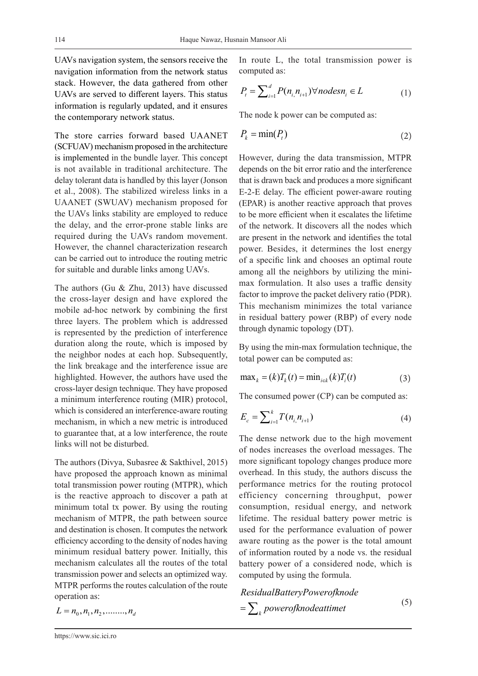UAVs navigation system, the sensors receive the navigation information from the network status stack. However, the data gathered from other UAVs are served to different layers. This status information is regularly updated, and it ensures the contemporary network status.

The store carries forward based UAANET (SCFUAV) mechanism proposed in the architecture is implemented in the bundle layer. This concept is not available in traditional architecture. The delay tolerant data is handled by this layer (Jonson et al., 2008). The stabilized wireless links in a UAANET (SWUAV) mechanism proposed for the UAVs links stability are employed to reduce the delay, and the error-prone stable links are required during the UAVs random movement. However, the channel characterization research can be carried out to introduce the routing metric for suitable and durable links among UAVs.

The authors (Gu & Zhu, 2013) have discussed the cross-layer design and have explored the mobile ad-hoc network by combining the first three layers. The problem which is addressed is represented by the prediction of interference duration along the route, which is imposed by the neighbor nodes at each hop. Subsequently, the link breakage and the interference issue are highlighted. However, the authors have used the cross-layer design technique. They have proposed a minimum interference routing (MIR) protocol, which is considered an interference-aware routing mechanism, in which a new metric is introduced to guarantee that, at a low interference, the route links will not be disturbed.

The authors (Divya, Subasree & Sakthivel, 2015) have proposed the approach known as minimal total transmission power routing (MTPR), which is the reactive approach to discover a path at minimum total tx power. By using the routing mechanism of MTPR, the path between source and destination is chosen. It computes the network efficiency according to the density of nodes having minimum residual battery power. Initially, this mechanism calculates all the routes of the total transmission power and selects an optimized way. MTPR performs the routes calculation of the route operation as:

In route L, the total transmission power is computed as:

$$
P_{t} = \sum_{i=1}^{d} P(n_{i,}n_{i+1}) \forall nodes n_{i} \in L
$$
 (1)

The node k power can be computed as:

$$
P_k = \min(P_t) \tag{2}
$$

However, during the data transmission, MTPR depends on the bit error ratio and the interference that is drawn back and produces a more significant E-2-E delay. The efficient power-aware routing (EPAR) is another reactive approach that proves to be more efficient when it escalates the lifetime of the network. It discovers all the nodes which are present in the network and identifies the total power. Besides, it determines the lost energy of a specific link and chooses an optimal route among all the neighbors by utilizing the minimax formulation. It also uses a traffic density factor to improve the packet delivery ratio (PDR). This mechanism minimizes the total variance in residual battery power (RBP) of every node through dynamic topology (DT).

By using the min-max formulation technique, the total power can be computed as:

$$
\max_{k} = (k)T_{k}(t) = \min_{i \in k} (k)T_{i}(t)
$$
\n(3)

The consumed power (CP) can be computed as:

$$
E_c = \sum_{i=1}^{k} T(n_i, n_{i+1})
$$
\n(4)

The dense network due to the high movement of nodes increases the overload messages. The more significant topology changes produce more overhead. In this study, the authors discuss the performance metrics for the routing protocol efficiency concerning throughput, power consumption, residual energy, and network lifetime. The residual battery power metric is used for the performance evaluation of power aware routing as the power is the total amount of information routed by a node vs. the residual battery power of a considered node, which is computed by using the formula.

$$
ResidualBatteryPower of knode
$$
\n
$$
= \sum_{k} power of knodeattimet
$$
\n(5)

 $L = n_0, n_1, n_2, \ldots, n_d$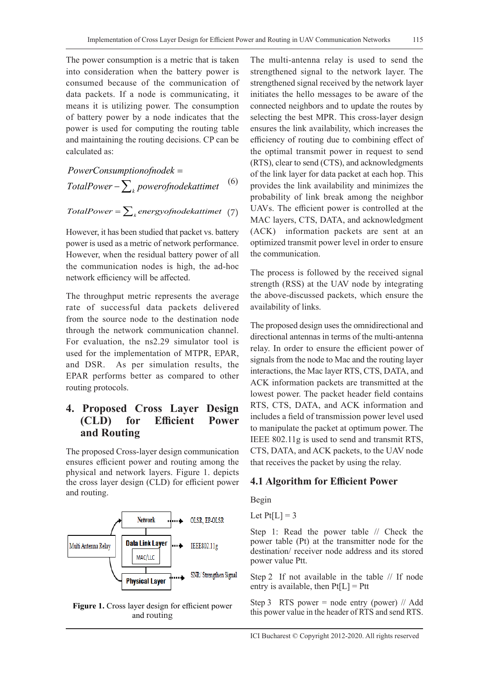The power consumption is a metric that is taken into consideration when the battery power is consumed because of the communication of data packets. If a node is communicating, it means it is utilizing power. The consumption of battery power by a node indicates that the power is used for computing the routing table and maintaining the routing decisions. CP can be calculated as:

$$
Power Consumption of node k =\nTotal Power - \sum_{k} power of node kat time t
$$
\n<sup>(6)</sup>

 $TotalPower = \sum_{k} energy of nodekattimet$  (7)

However, it has been studied that packet vs. battery power is used as a metric of network performance. However, when the residual battery power of all the communication nodes is high, the ad-hoc network efficiency will be affected.

The throughput metric represents the average rate of successful data packets delivered from the source node to the destination node through the network communication channel. For evaluation, the ns2.29 simulator tool is used for the implementation of MTPR, EPAR, and DSR. As per simulation results, the EPAR performs better as compared to other routing protocols.

### **4. Proposed Cross Layer Design (CLD) for Efficient Power and Routing**

The proposed Cross-layer design communication ensures efficient power and routing among the physical and network layers. Figure 1. depicts the cross layer design (CLD) for efficient power and routing.



**Figure 1.** Cross layer design for efficient power and routing

The multi-antenna relay is used to send the strengthened signal to the network layer. The strengthened signal received by the network layer initiates the hello messages to be aware of the connected neighbors and to update the routes by selecting the best MPR. This cross-layer design ensures the link availability, which increases the efficiency of routing due to combining effect of the optimal transmit power in request to send (RTS), clear to send (CTS), and acknowledgments of the link layer for data packet at each hop. This provides the link availability and minimizes the probability of link break among the neighbor UAVs. The efficient power is controlled at the MAC layers, CTS, DATA, and acknowledgment (ACK) information packets are sent at an optimized transmit power level in order to ensure the communication.

The process is followed by the received signal strength (RSS) at the UAV node by integrating the above-discussed packets, which ensure the availability of links.

The proposed design uses the omnidirectional and directional antennas in terms of the multi-antenna relay. In order to ensure the efficient power of signals from the node to Mac and the routing layer interactions, the Mac layer RTS, CTS, DATA, and ACK information packets are transmitted at the lowest power. The packet header field contains RTS, CTS, DATA, and ACK information and includes a field of transmission power level used to manipulate the packet at optimum power. The IEEE 802.11g is used to send and transmit RTS, CTS, DATA, and ACK packets, to the UAV node that receives the packet by using the relay.

#### **4.1 Algorithm for Efficient Power**

Begin

Let  $Pt[L] = 3$ 

Step 1: Read the power table // Check the power table (Pt) at the transmitter node for the destination/ receiver node address and its stored power value Ptt.

Step 2 If not available in the table // If node entry is available, then  $Pt[L] = Ptt$ 

Step 3 RTS power = node entry (power)  $\frac{1}{4}$  Add this power value in the header of RTS and send RTS.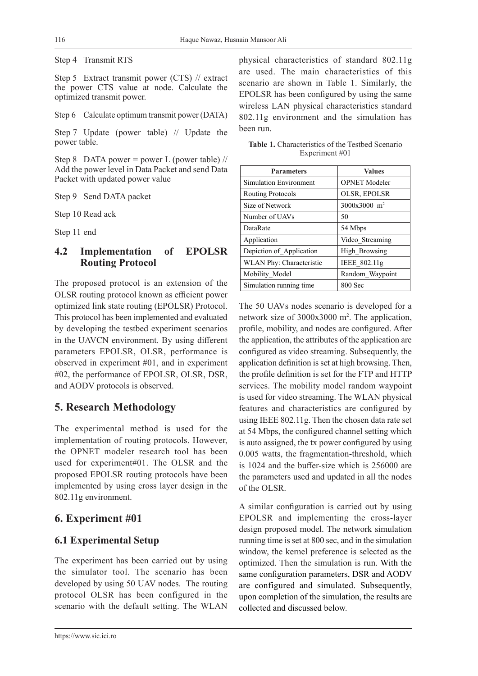Step 4 Transmit RTS

Step 5 Extract transmit power (CTS) // extract the power CTS value at node. Calculate the optimized transmit power.

Step 6 Calculate optimum transmit power (DATA)

Step 7 Update (power table) // Update the power table.

Step 8 DATA power = power L (power table) // Add the power level in Data Packet and send Data Packet with updated power value

Step 9 Send DATA packet

Step 10 Read ack

Step 11 end

### **4.2 Implementation of EPOLSR Routing Protocol**

The proposed protocol is an extension of the OLSR routing protocol known as efficient power optimized link state routing (EPOLSR) Protocol. This protocol has been implemented and evaluated by developing the testbed experiment scenarios in the UAVCN environment. By using different parameters EPOLSR, OLSR, performance is observed in experiment #01, and in experiment #02, the performance of EPOLSR, OLSR, DSR, and AODV protocols is observed.

# **5. Research Methodology**

The experimental method is used for the implementation of routing protocols. However, the OPNET modeler research tool has been used for experiment#01. The OLSR and the proposed EPOLSR routing protocols have been implemented by using cross layer design in the 802.11g environment.

# **6. Experiment #01**

# **6.1 Experimental Setup**

The experiment has been carried out by using the simulator tool. The scenario has been developed by using 50 UAV nodes. The routing protocol OLSR has been configured in the scenario with the default setting. The WLAN

https://www.sic.ici.ro

physical characteristics of standard 802.11g are used. The main characteristics of this scenario are shown in Table 1. Similarly, the EPOLSR has been configured by using the same wireless LAN physical characteristics standard 802.11g environment and the simulation has been run.

| <b>Table 1.</b> Characteristics of the Testbed Scenario |  |  |  |
|---------------------------------------------------------|--|--|--|
| Experiment #01                                          |  |  |  |
|                                                         |  |  |  |

| <b>Parameters</b>             | <b>Values</b>              |
|-------------------------------|----------------------------|
| <b>Simulation Environment</b> | <b>OPNET</b> Modeler       |
| <b>Routing Protocols</b>      | OLSR, EPOLSR               |
| Size of Network               | $3000x3000$ m <sup>2</sup> |
| Number of UAVs                | 50                         |
| DataRate                      | 54 Mbps                    |
| Application                   | Video Streaming            |
| Depiction of_Application      | High Browsing              |
| WLAN Phy: Characteristic      | IEEE 802.11g               |
| Mobility Model                | Random Waypoint            |
| Simulation running time       | $800$ Sec                  |

The 50 UAVs nodes scenario is developed for a network size of 3000x3000 m2 . The application, profile, mobility, and nodes are configured. After the application, the attributes of the application are configured as video streaming. Subsequently, the application definition is set at high browsing. Then, the profile definition is set for the FTP and HTTP services. The mobility model random waypoint is used for video streaming. The WLAN physical features and characteristics are configured by using IEEE 802.11g. Then the chosen data rate set at 54 Mbps, the configured channel setting which is auto assigned, the tx power configured by using 0.005 watts, the fragmentation-threshold, which is 1024 and the buffer-size which is 256000 are the parameters used and updated in all the nodes of the OLSR.

A similar configuration is carried out by using EPOLSR and implementing the cross-layer design proposed model. The network simulation running time is set at 800 sec, and in the simulation window, the kernel preference is selected as the optimized. Then the simulation is run. With the same configuration parameters, DSR and AODV are configured and simulated. Subsequently, upon completion of the simulation, the results are collected and discussed below.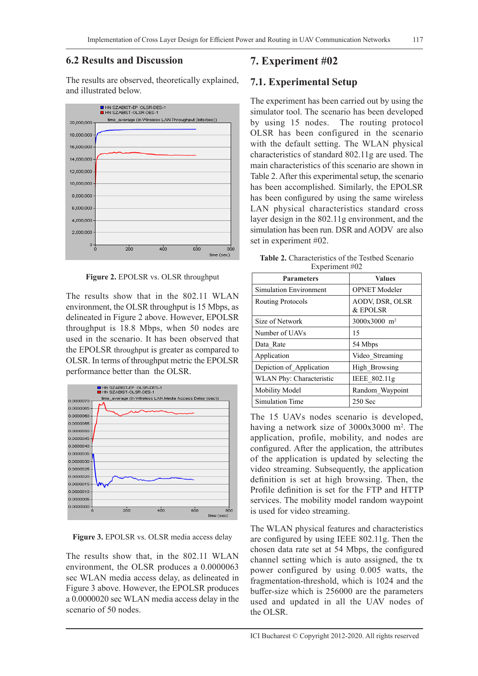### **6.2 Results and Discussion**

The results are observed, theoretically explained, and illustrated below.



**Figure 2.** EPOLSR vs. OLSR throughput

The results show that in the 802.11 WLAN environment, the OLSR throughput is 15 Mbps, as delineated in Figure 2 above. However, EPOLSR throughput is 18.8 Mbps, when 50 nodes are used in the scenario. It has been observed that the EPOLSR throughput is greater as compared to OLSR. In terms of throughput metric the EPOLSR performance better than the OLSR.



**Figure 3.** EPOLSR vs. OLSR media access delay

The results show that, in the 802.11 WLAN environment, the OLSR produces a 0.0000063 sec WLAN media access delay, as delineated in Figure 3 above. However, the EPOLSR produces a 0.0000020 sec WLAN media access delay in the scenario of 50 nodes.

# **7. Experiment #02**

### **7.1. Experimental Setup**

The experiment has been carried out by using the simulator tool. The scenario has been developed by using 15 nodes. The routing protocol OLSR has been configured in the scenario with the default setting. The WLAN physical characteristics of standard 802.11g are used. The main characteristics of this scenario are shown in Table 2. After this experimental setup, the scenario has been accomplished. Similarly, the EPOLSR has been configured by using the same wireless LAN physical characteristics standard cross layer design in the 802.11g environment, and the simulation has been run. DSR and AODV are also set in experiment #02.

|                | <b>Table 2.</b> Characteristics of the Testbed Scenario |  |
|----------------|---------------------------------------------------------|--|
| Experiment #02 |                                                         |  |

| $L$ Apermient $\theta$   |                                    |  |
|--------------------------|------------------------------------|--|
| <b>Parameters</b>        | <b>Values</b>                      |  |
| Simulation Environment   | <b>OPNET</b> Modeler               |  |
| <b>Routing Protocols</b> | <b>AODV, DSR, OLSR</b><br>& EPOLSR |  |
| Size of Network          | 3000x3000 m <sup>2</sup>           |  |
| Number of UAVs           | 15                                 |  |
| Data Rate                | 54 Mbps                            |  |
| Application              | Video Streaming                    |  |
| Depiction of Application | High Browsing                      |  |
| WLAN Phy: Characteristic | IEEE 802.11g                       |  |
| Mobility Model           | Random Waypoint                    |  |
| Simulation Time          | $250$ Sec                          |  |

The 15 UAVs nodes scenario is developed, having a network size of 3000x3000 m<sup>2</sup>. The application, profile, mobility, and nodes are configured. After the application, the attributes of the application is updated by selecting the video streaming. Subsequently, the application definition is set at high browsing. Then, the Profile definition is set for the FTP and HTTP services. The mobility model random waypoint is used for video streaming.

The WLAN physical features and characteristics are configured by using IEEE 802.11g. Then the chosen data rate set at 54 Mbps, the configured channel setting which is auto assigned, the tx power configured by using 0.005 watts, the fragmentation-threshold, which is 1024 and the buffer-size which is 256000 are the parameters used and updated in all the UAV nodes of the OLSR.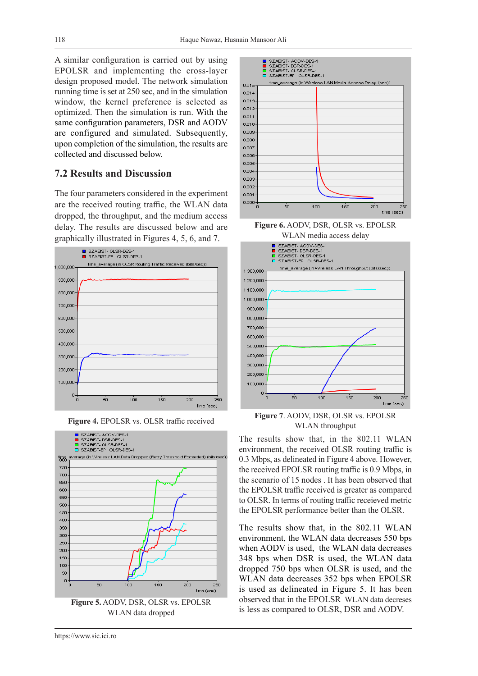$0.015$  $0.014$ 0.013  $0.012$ 0.011  $0.010$ 0.009 0.008

A similar configuration is carried out by using EPOLSR and implementing the cross-layer design proposed model. The network simulation running time is set at 250 sec, and in the simulation window, the kernel preference is selected as optimized. Then the simulation is run. With the same configuration parameters, DSR and AODV are configured and simulated. Subsequently, upon completion of the simulation, the results are collected and discussed below.

#### **7.2 Results and Discussion**

The four parameters considered in the experiment are the received routing traffic, the WLAN data dropped, the throughput, and the medium access delay. The results are discussed below and are graphically illustrated in Figures 4, 5, 6, and 7.



**Figure 4.** EPOLSR vs. OLSR traffic received



**Figure 5.** AODV, DSR, OLSR vs. EPOLSR WLAN data dropped



SZABIST- AODV-DES-1<br>SZABIST- DSR-DES-1 □ SZABIST-OLSR-DES-1<br>□ SZABIST-EP OLSR-DES-1

**Figure 6.** AODV, DSR, OLSR vs. EPOLSR WLAN media access delay

 $\frac{1}{150}$ 

2ÒO

250 time (sec)

time average (in Wireless LAN.Media Access Delay (sec))



**Figure 7**. AODV, DSR, OLSR vs. EPOLSR WLAN throughput

The results show that, in the 802.11 WLAN environment, the received OLSR routing traffic is 0.3 Mbps, as delineated in Figure 4 above. However, the received EPOLSR routing traffic is 0.9 Mbps, in the scenario of 15 nodes . It has been observed that the EPOLSR traffic received is greater as compared to OLSR. In terms of routing traffic receieved metric the EPOLSR performance better than the OLSR.

The results show that, in the 802.11 WLAN environment, the WLAN data decreases 550 bps when AODV is used, the WLAN data decreases 348 bps when DSR is used, the WLAN data dropped 750 bps when OLSR is used, and the WLAN data decreases 352 bps when EPOLSR is used as delineated in Figure 5. It has been observed that in the EPOLSR WLAN data decreses is less as compared to OLSR, DSR and AODV.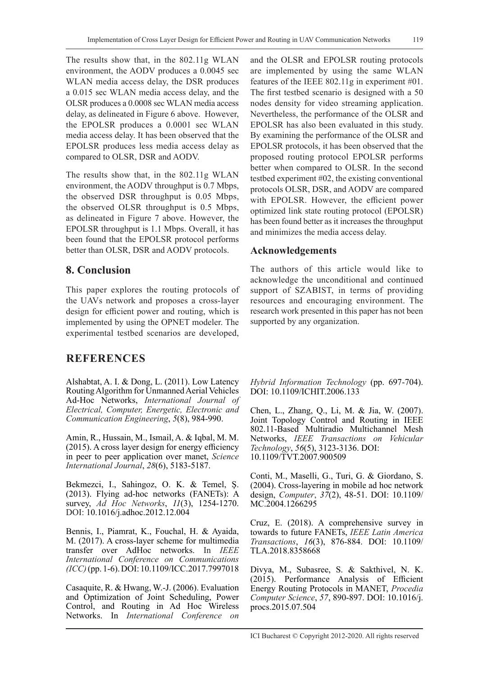The results show that, in the 802.11g WLAN environment, the AODV produces a 0.0045 sec WLAN media access delay, the DSR produces a 0.015 sec WLAN media access delay, and the OLSR produces a 0.0008 sec WLAN media access delay, as delineated in Figure 6 above. However, the EPOLSR produces a 0.0001 sec WLAN media access delay. It has been observed that the EPOLSR produces less media access delay as compared to OLSR, DSR and AODV.

The results show that, in the 802.11g WLAN environment, the AODV throughput is 0.7 Mbps, the observed DSR throughput is 0.05 Mbps, the observed OLSR throughput is 0.5 Mbps, as delineated in Figure 7 above. However, the EPOLSR throughput is 1.1 Mbps. Overall, it has been found that the EPOLSR protocol performs better than OLSR, DSR and AODV protocols.

### **8. Conclusion**

This paper explores the routing protocols of the UAVs network and proposes a cross-layer design for efficient power and routing, which is implemented by using the OPNET modeler. The experimental testbed scenarios are developed,

# **REFERENCES**

Alshabtat, A. I. & Dong, L. (2011). Low Latency Routing Algorithm for Unmanned Aerial Vehicles Ad-Hoc Networks, *International Journal of Electrical, Computer, Energetic, Electronic and Communication Engineering*, *5*(8), 984-990.

Amin, R., Hussain, M., Ismail, A. & Iqbal, M. M. (2015). A cross layer design for energy efficiency in peer to peer application over manet, *Science International Journal*, *28*(6), 5183-5187.

Bekmezci, I., Sahingoz, O. K. & Temel, Ş. (2013). Flying ad-hoc networks (FANETs): A survey, *Ad Hoc Networks*, *11*(3), 1254-1270. DOI: 10.1016/j.adhoc.2012.12.004

Bennis, I., Piamrat, K., Fouchal, H. & Ayaida, M. (2017). A cross-layer scheme for multimedia transfer over AdHoc networks. In *IEEE International Conference on Communications (ICC)* (pp. 1-6). DOI: 10.1109/ICC.2017.7997018

Casaquite, R. & Hwang, W.-J. (2006). Evaluation and Optimization of Joint Scheduling, Power Control, and Routing in Ad Hoc Wireless Networks. In *International Conference on*  and the OLSR and EPOLSR routing protocols are implemented by using the same WLAN features of the IEEE 802.11g in experiment #01. The first testbed scenario is designed with a 50 nodes density for video streaming application. Nevertheless, the performance of the OLSR and EPOLSR has also been evaluated in this study. By examining the performance of the OLSR and EPOLSR protocols, it has been observed that the proposed routing protocol EPOLSR performs better when compared to OLSR. In the second testbed experiment #02, the existing conventional protocols OLSR, DSR, and AODV are compared with EPOLSR. However, the efficient power optimized link state routing protocol (EPOLSR) has been found better as it increases the throughput and minimizes the media access delay.

### **Acknowledgements**

The authors of this article would like to acknowledge the unconditional and continued support of SZABIST, in terms of providing resources and encouraging environment. The research work presented in this paper has not been supported by any organization.

*Hybrid Information Technology* (pp. 697-704). DOI: 10.1109/ICHIT.2006.133

Chen, L., Zhang, Q., Li, M. & Jia, W. (2007). Joint Topology Control and Routing in IEEE 802.11-Based Multiradio Multichannel Mesh Networks, *IEEE Transactions on Vehicular Technology*, *56*(5), 3123-3136. DOI: 10.1109/TVT.2007.900509

Conti, M., Maselli, G., Turi, G. & Giordano, S. (2004). Cross-layering in mobile ad hoc network design, *Computer*, *37*(2), 48-51. DOI: 10.1109/ MC.2004.1266295

Cruz, E. (2018). A comprehensive survey in towards to future FANETs, *IEEE Latin America Transactions*, *16*(3), 876-884. DOI: 10.1109/ TLA.2018.8358668

Divya, M., Subasree, S. & Sakthivel, N. K. (2015). Performance Analysis of Efficient Energy Routing Protocols in MANET, *Procedia Computer Science*, *57*, 890-897. DOI: 10.1016/j. procs.2015.07.504